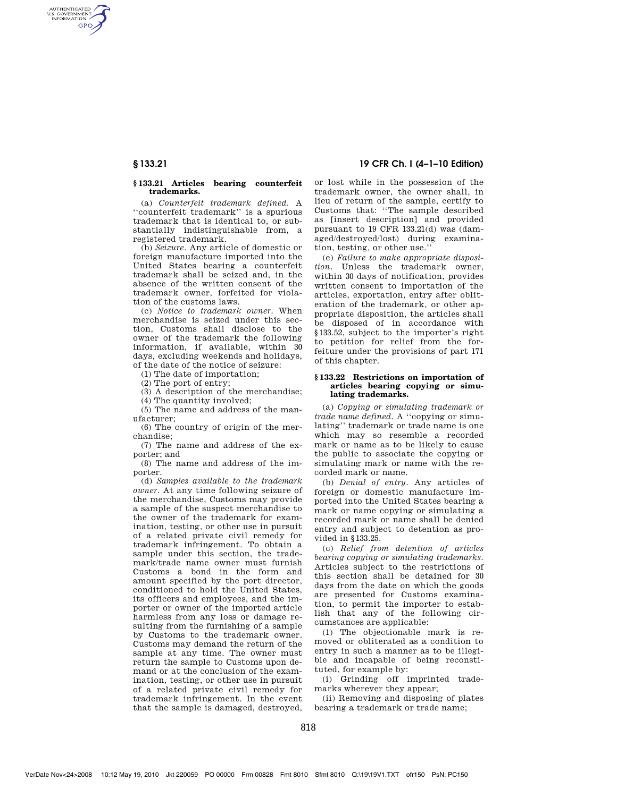AUTHENTICATED<br>U.S. GOVERNMENT<br>INFORMATION **GPO** 

## **§ 133.21 Articles bearing counterfeit trademarks.**

(a) *Counterfeit trademark defined.* A ''counterfeit trademark'' is a spurious trademark that is identical to, or substantially indistinguishable from, a registered trademark.

(b) *Seizure.* Any article of domestic or foreign manufacture imported into the United States bearing a counterfeit trademark shall be seized and, in the absence of the written consent of the trademark owner, forfeited for violation of the customs laws.

(c) *Notice to trademark owner.* When merchandise is seized under this section, Customs shall disclose to the owner of the trademark the following information, if available, within 30 days, excluding weekends and holidays, of the date of the notice of seizure:

(1) The date of importation;

(2) The port of entry;

(3) A description of the merchandise;

(4) The quantity involved;

(5) The name and address of the manufacturer;

(6) The country of origin of the merchandise;

(7) The name and address of the exporter; and

(8) The name and address of the importer.

(d) *Samples available to the trademark owner.* At any time following seizure of the merchandise, Customs may provide a sample of the suspect merchandise to the owner of the trademark for examination, testing, or other use in pursuit of a related private civil remedy for trademark infringement. To obtain a sample under this section, the trademark/trade name owner must furnish Customs a bond in the form and amount specified by the port director, conditioned to hold the United States, its officers and employees, and the importer or owner of the imported article harmless from any loss or damage resulting from the furnishing of a sample by Customs to the trademark owner. Customs may demand the return of the sample at any time. The owner must return the sample to Customs upon demand or at the conclusion of the examination, testing, or other use in pursuit of a related private civil remedy for trademark infringement. In the event that the sample is damaged, destroyed,

**§ 133.21 19 CFR Ch. I (4–1–10 Edition)** 

or lost while in the possession of the trademark owner, the owner shall, in lieu of return of the sample, certify to Customs that: ''The sample described as [insert description] and provided pursuant to 19 CFR 133.21(d) was (damaged/destroyed/lost) during examination, testing, or other use.''

(e) *Failure to make appropriate disposition.* Unless the trademark owner, within 30 days of notification, provides written consent to importation of the articles, exportation, entry after obliteration of the trademark, or other appropriate disposition, the articles shall be disposed of in accordance with §133.52, subject to the importer's right to petition for relief from the forfeiture under the provisions of part 171 of this chapter.

### **§ 133.22 Restrictions on importation of articles bearing copying or simulating trademarks.**

(a) *Copying or simulating trademark or trade name defined.* A ''copying or simulating'' trademark or trade name is one which may so resemble a recorded mark or name as to be likely to cause the public to associate the copying or simulating mark or name with the recorded mark or name.

(b) *Denial of entry.* Any articles of foreign or domestic manufacture imported into the United States bearing a mark or name copying or simulating a recorded mark or name shall be denied entry and subject to detention as provided in §133.25.

(c) *Relief from detention of articles bearing copying or simulating trademarks.*  Articles subject to the restrictions of this section shall be detained for 30 days from the date on which the goods are presented for Customs examination, to permit the importer to establish that any of the following circumstances are applicable:

(1) The objectionable mark is removed or obliterated as a condition to entry in such a manner as to be illegible and incapable of being reconstituted, for example by:

(i) Grinding off imprinted trademarks wherever they appear;

(ii) Removing and disposing of plates bearing a trademark or trade name;